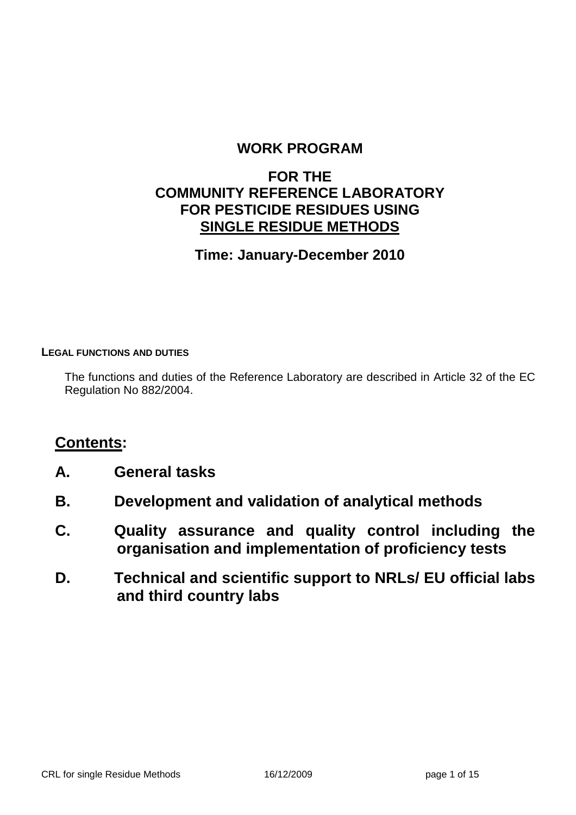#### **WORK PROGRAM**

#### **FOR THE COMMUNITY REFERENCE LABORATORY FOR PESTICIDE RESIDUES USING SINGLE RESIDUE METHODS**

#### **Time: January-December 2010**

#### **LEGAL FUNCTIONS AND DUTIES**

The functions and duties of the Reference Laboratory are described in Article 32 of the EC Regulation No 882/2004.

#### **Contents:**

- **A. General tasks**
- **B. Development and validation of analytical methods**
- **C. Quality assurance and quality control including the organisation and implementation of proficiency tests**
- **D. Technical and scientific support to NRLs/ EU official labs and third country labs**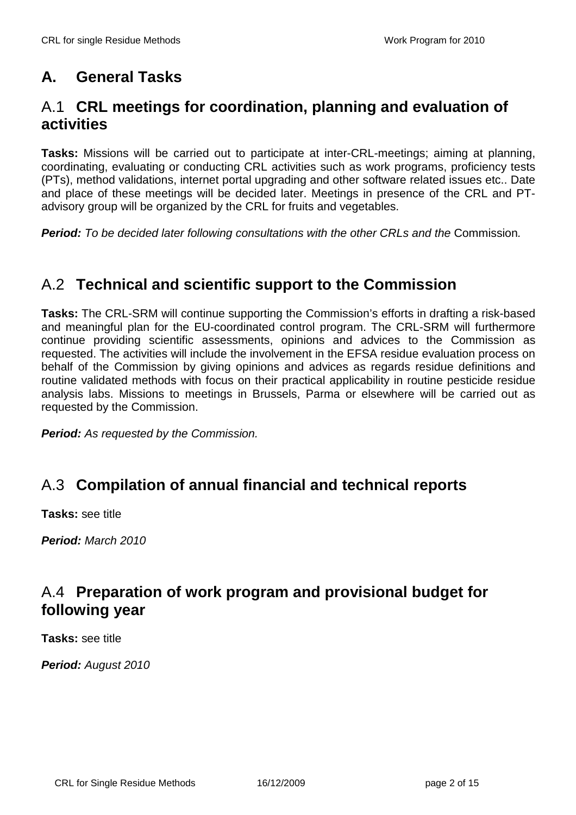# **A. General Tasks**

#### A.1 **CRL meetings for coordination, planning and evaluation of activities**

**Tasks:** Missions will be carried out to participate at inter-CRL-meetings; aiming at planning, coordinating, evaluating or conducting CRL activities such as work programs, proficiency tests (PTs), method validations, internet portal upgrading and other software related issues etc.. Date and place of these meetings will be decided later. Meetings in presence of the CRL and PTadvisory group will be organized by the CRL for fruits and vegetables.

**Period:** To be decided later following consultations with the other CRLs and the Commission.

# A.2 **Technical and scientific support to the Commission**

**Tasks:** The CRL-SRM will continue supporting the Commission's efforts in drafting a risk-based and meaningful plan for the EU-coordinated control program. The CRL-SRM will furthermore continue providing scientific assessments, opinions and advices to the Commission as requested. The activities will include the involvement in the EFSA residue evaluation process on behalf of the Commission by giving opinions and advices as regards residue definitions and routine validated methods with focus on their practical applicability in routine pesticide residue analysis labs. Missions to meetings in Brussels, Parma or elsewhere will be carried out as requested by the Commission.

**Period:** As requested by the Commission.

# A.3 **Compilation of annual financial and technical reports**

**Tasks:** see title

**Period:** March 2010

## A.4 **Preparation of work program and provisional budget for following year**

**Tasks:** see title

**Period:** August 2010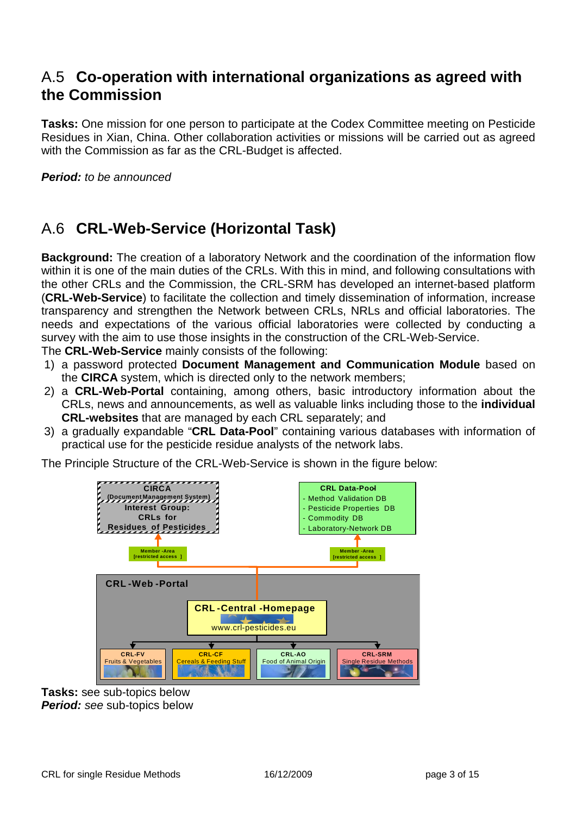#### A.5 **Co-operation with international organizations as agreed with the Commission**

**Tasks:** One mission for one person to participate at the Codex Committee meeting on Pesticide Residues in Xian, China. Other collaboration activities or missions will be carried out as agreed with the Commission as far as the CRL-Budget is affected.

**Period:** to be announced

## A.6 **CRL-Web-Service (Horizontal Task)**

**Background:** The creation of a laboratory Network and the coordination of the information flow within it is one of the main duties of the CRLs. With this in mind, and following consultations with the other CRLs and the Commission, the CRL-SRM has developed an internet-based platform (**CRL-Web-Service**) to facilitate the collection and timely dissemination of information, increase transparency and strengthen the Network between CRLs, NRLs and official laboratories. The needs and expectations of the various official laboratories were collected by conducting a survey with the aim to use those insights in the construction of the CRL-Web-Service.

The **CRL-Web-Service** mainly consists of the following:

- 1) a password protected **Document Management and Communication Module** based on the **CIRCA** system, which is directed only to the network members;
- 2) a **CRL-Web-Portal** containing, among others, basic introductory information about the CRLs, news and announcements, as well as valuable links including those to the **individual CRL-websites** that are managed by each CRL separately; and
- 3) a gradually expandable "**CRL Data-Pool**" containing various databases with information of practical use for the pesticide residue analysts of the network labs.

The Principle Structure of the CRL-Web-Service is shown in the figure below:



**Tasks:** see sub-topics below **Period:** see sub-topics below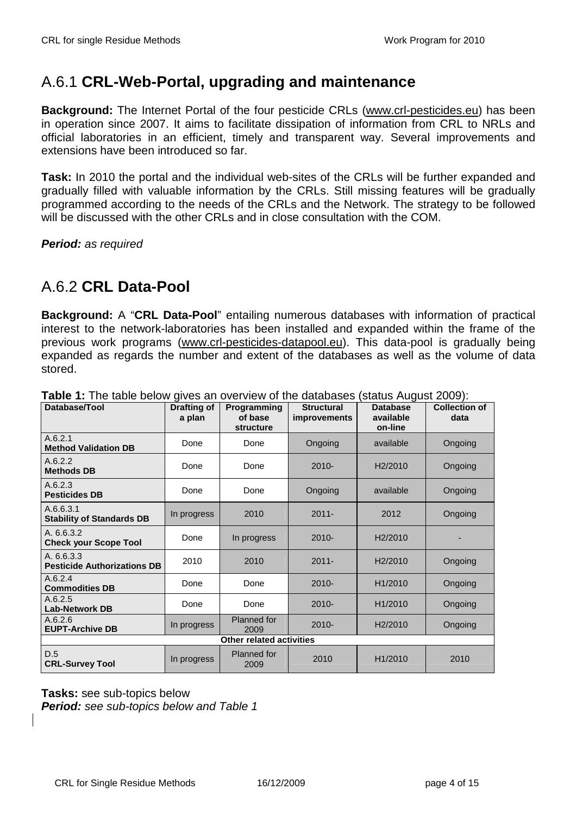# A.6.1 **CRL-Web-Portal, upgrading and maintenance**

**Background:** The Internet Portal of the four pesticide CRLs (www.crl-pesticides.eu) has been in operation since 2007. It aims to facilitate dissipation of information from CRL to NRLs and official laboratories in an efficient, timely and transparent way. Several improvements and extensions have been introduced so far.

**Task:** In 2010 the portal and the individual web-sites of the CRLs will be further expanded and gradually filled with valuable information by the CRLs. Still missing features will be gradually programmed according to the needs of the CRLs and the Network. The strategy to be followed will be discussed with the other CRLs and in close consultation with the COM.

**Period:** as required

# A.6.2 **CRL Data-Pool**

**Background:** A "**CRL Data-Pool**" entailing numerous databases with information of practical interest to the network-laboratories has been installed and expanded within the frame of the previous work programs (www.crl-pesticides-datapool.eu). This data-pool is gradually being expanded as regards the number and extent of the databases as well as the volume of data stored.

| Database/Tool                                    | <b>Drafting of</b><br>a plan | Programming<br>of base     | <b>Structural</b><br><i>improvements</i> | <b>Database</b><br>available | <b>Collection of</b><br>data |
|--------------------------------------------------|------------------------------|----------------------------|------------------------------------------|------------------------------|------------------------------|
|                                                  |                              | structure                  |                                          | on-line                      |                              |
| A.6.2.1<br><b>Method Validation DB</b>           | Done                         | Done                       | Ongoing                                  | available                    | Ongoing                      |
| A.6.2.2<br><b>Methods DB</b>                     | Done                         | Done                       | $2010 -$                                 | H <sub>2</sub> /2010         | Ongoing                      |
| A.6.2.3<br><b>Pesticides DB</b>                  | Done                         | Done                       | Ongoing                                  | available                    | Ongoing                      |
| A.6.6.3.1<br><b>Stability of Standards DB</b>    | In progress                  | 2010                       | $2011 -$                                 | 2012                         | Ongoing                      |
| A. 6.6.3.2<br><b>Check your Scope Tool</b>       | Done                         | In progress                | $2010 -$                                 | H <sub>2</sub> /2010         |                              |
| A. 6.6.3.3<br><b>Pesticide Authorizations DB</b> | 2010                         | 2010                       | $2011 -$                                 | H <sub>2</sub> /2010         | Ongoing                      |
| A.6.2.4<br><b>Commodities DB</b>                 | Done                         | Done                       | $2010 -$                                 | H <sub>1</sub> /2010         | Ongoing                      |
| A.6.2.5<br><b>Lab-Network DB</b>                 | Done                         | Done                       | $2010 -$                                 | H1/2010                      | Ongoing                      |
| A.6.2.6<br><b>EUPT-Archive DB</b>                | In progress                  | <b>Planned</b> for<br>2009 | $2010 -$                                 | H <sub>2</sub> /2010         | Ongoing                      |
| <b>Other related activities</b>                  |                              |                            |                                          |                              |                              |
| D.5<br><b>CRL-Survey Tool</b>                    | In progress                  | <b>Planned</b> for<br>2009 | 2010                                     | H1/2010                      | 2010                         |

**Table 1:** The table below gives an overview of the databases (status August 2009):

**Tasks:** see sub-topics below **Period:** see sub-topics below and Table 1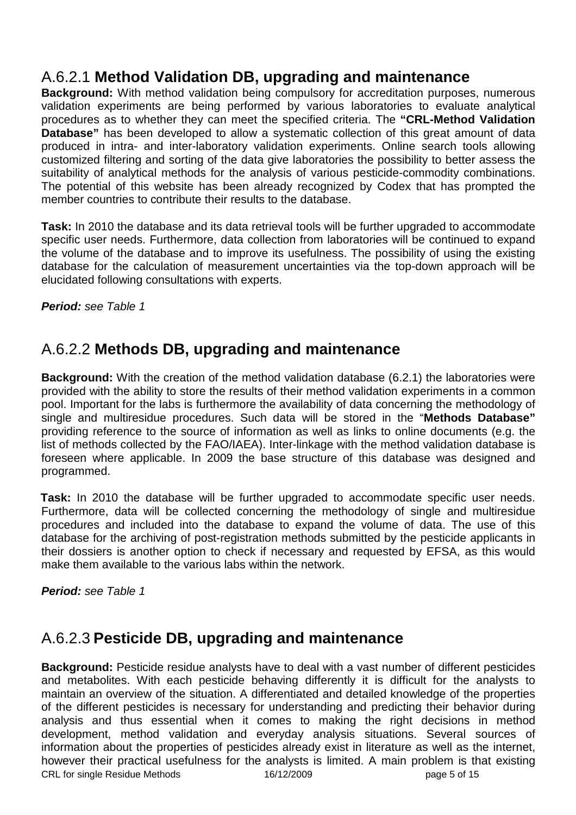# A.6.2.1 **Method Validation DB, upgrading and maintenance**

**Background:** With method validation being compulsory for accreditation purposes, numerous validation experiments are being performed by various laboratories to evaluate analytical procedures as to whether they can meet the specified criteria. The **"CRL-Method Validation Database**" has been developed to allow a systematic collection of this great amount of data produced in intra- and inter-laboratory validation experiments. Online search tools allowing customized filtering and sorting of the data give laboratories the possibility to better assess the suitability of analytical methods for the analysis of various pesticide-commodity combinations. The potential of this website has been already recognized by Codex that has prompted the member countries to contribute their results to the database.

**Task:** In 2010 the database and its data retrieval tools will be further upgraded to accommodate specific user needs. Furthermore, data collection from laboratories will be continued to expand the volume of the database and to improve its usefulness. The possibility of using the existing database for the calculation of measurement uncertainties via the top-down approach will be elucidated following consultations with experts.

**Period:** see Table 1

## A.6.2.2 **Methods DB, upgrading and maintenance**

**Background:** With the creation of the method validation database (6.2.1) the laboratories were provided with the ability to store the results of their method validation experiments in a common pool. Important for the labs is furthermore the availability of data concerning the methodology of single and multiresidue procedures. Such data will be stored in the "**Methods Database"** providing reference to the source of information as well as links to online documents (e.g. the list of methods collected by the FAO/IAEA). Inter-linkage with the method validation database is foreseen where applicable. In 2009 the base structure of this database was designed and programmed.

**Task:** In 2010 the database will be further upgraded to accommodate specific user needs. Furthermore, data will be collected concerning the methodology of single and multiresidue procedures and included into the database to expand the volume of data. The use of this database for the archiving of post-registration methods submitted by the pesticide applicants in their dossiers is another option to check if necessary and requested by EFSA, as this would make them available to the various labs within the network.

**Period:** see Table 1

# A.6.2.3 **Pesticide DB, upgrading and maintenance**

CRL for single Residue Methods 16/12/2009 page 5 of 15 **Background:** Pesticide residue analysts have to deal with a vast number of different pesticides and metabolites. With each pesticide behaving differently it is difficult for the analysts to maintain an overview of the situation. A differentiated and detailed knowledge of the properties of the different pesticides is necessary for understanding and predicting their behavior during analysis and thus essential when it comes to making the right decisions in method development, method validation and everyday analysis situations. Several sources of information about the properties of pesticides already exist in literature as well as the internet, however their practical usefulness for the analysts is limited. A main problem is that existing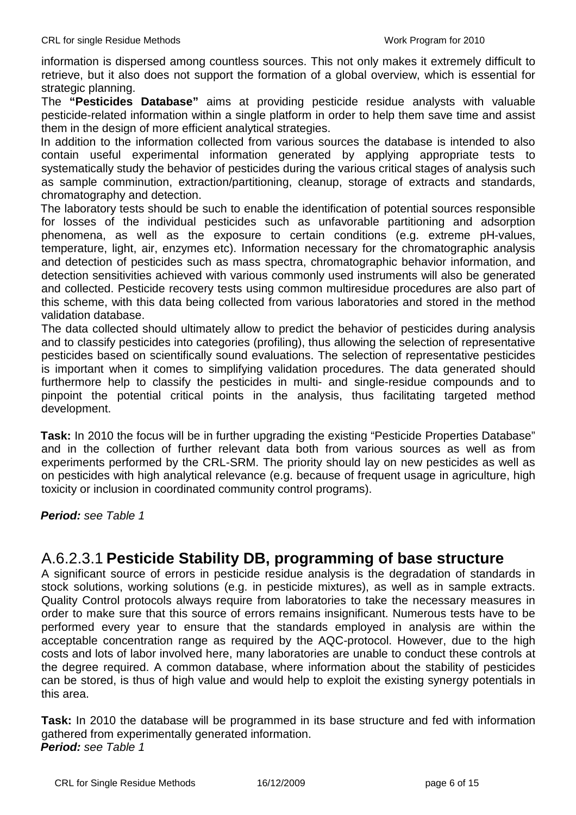information is dispersed among countless sources. This not only makes it extremely difficult to retrieve, but it also does not support the formation of a global overview, which is essential for strategic planning.

The **"Pesticides Database"** aims at providing pesticide residue analysts with valuable pesticide-related information within a single platform in order to help them save time and assist them in the design of more efficient analytical strategies.

In addition to the information collected from various sources the database is intended to also contain useful experimental information generated by applying appropriate tests to systematically study the behavior of pesticides during the various critical stages of analysis such as sample comminution, extraction/partitioning, cleanup, storage of extracts and standards, chromatography and detection.

The laboratory tests should be such to enable the identification of potential sources responsible for losses of the individual pesticides such as unfavorable partitioning and adsorption phenomena, as well as the exposure to certain conditions (e.g. extreme pH-values, temperature, light, air, enzymes etc). Information necessary for the chromatographic analysis and detection of pesticides such as mass spectra, chromatographic behavior information, and detection sensitivities achieved with various commonly used instruments will also be generated and collected. Pesticide recovery tests using common multiresidue procedures are also part of this scheme, with this data being collected from various laboratories and stored in the method validation database.

The data collected should ultimately allow to predict the behavior of pesticides during analysis and to classify pesticides into categories (profiling), thus allowing the selection of representative pesticides based on scientifically sound evaluations. The selection of representative pesticides is important when it comes to simplifying validation procedures. The data generated should furthermore help to classify the pesticides in multi- and single-residue compounds and to pinpoint the potential critical points in the analysis, thus facilitating targeted method development.

**Task:** In 2010 the focus will be in further upgrading the existing "Pesticide Properties Database" and in the collection of further relevant data both from various sources as well as from experiments performed by the CRL-SRM. The priority should lay on new pesticides as well as on pesticides with high analytical relevance (e.g. because of frequent usage in agriculture, high toxicity or inclusion in coordinated community control programs).

**Period:** see Table 1

#### A.6.2.3.1 **Pesticide Stability DB, programming of base structure**

A significant source of errors in pesticide residue analysis is the degradation of standards in stock solutions, working solutions (e.g. in pesticide mixtures), as well as in sample extracts. Quality Control protocols always require from laboratories to take the necessary measures in order to make sure that this source of errors remains insignificant. Numerous tests have to be performed every year to ensure that the standards employed in analysis are within the acceptable concentration range as required by the AQC-protocol. However, due to the high costs and lots of labor involved here, many laboratories are unable to conduct these controls at the degree required. A common database, where information about the stability of pesticides can be stored, is thus of high value and would help to exploit the existing synergy potentials in this area.

**Task:** In 2010 the database will be programmed in its base structure and fed with information gathered from experimentally generated information. **Period:** see Table 1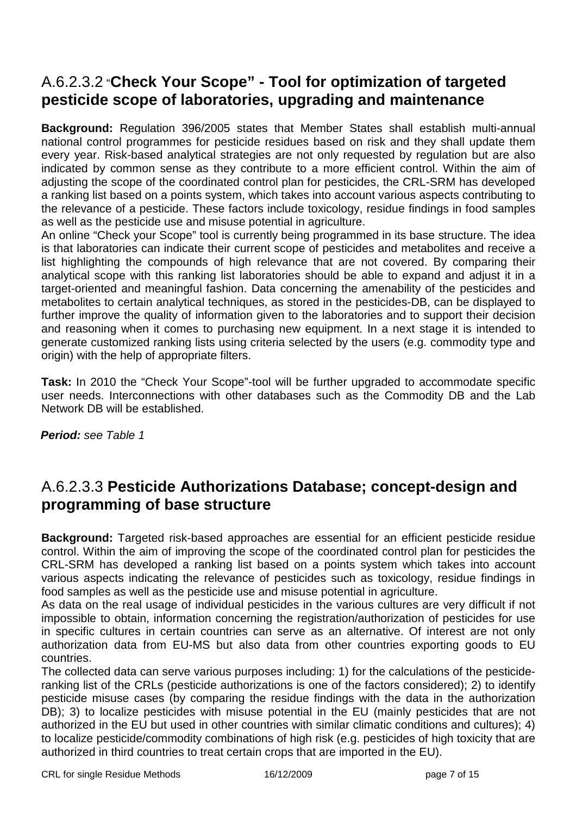# A.6.2.3.2 "**Check Your Scope" - Tool for optimization of targeted pesticide scope of laboratories, upgrading and maintenance**

**Background:** Regulation 396/2005 states that Member States shall establish multi-annual national control programmes for pesticide residues based on risk and they shall update them every year. Risk-based analytical strategies are not only requested by regulation but are also indicated by common sense as they contribute to a more efficient control. Within the aim of adjusting the scope of the coordinated control plan for pesticides, the CRL-SRM has developed a ranking list based on a points system, which takes into account various aspects contributing to the relevance of a pesticide. These factors include toxicology, residue findings in food samples as well as the pesticide use and misuse potential in agriculture.

An online "Check your Scope" tool is currently being programmed in its base structure. The idea is that laboratories can indicate their current scope of pesticides and metabolites and receive a list highlighting the compounds of high relevance that are not covered. By comparing their analytical scope with this ranking list laboratories should be able to expand and adjust it in a target-oriented and meaningful fashion. Data concerning the amenability of the pesticides and metabolites to certain analytical techniques, as stored in the pesticides-DB, can be displayed to further improve the quality of information given to the laboratories and to support their decision and reasoning when it comes to purchasing new equipment. In a next stage it is intended to generate customized ranking lists using criteria selected by the users (e.g. commodity type and origin) with the help of appropriate filters.

**Task:** In 2010 the "Check Your Scope"-tool will be further upgraded to accommodate specific user needs. Interconnections with other databases such as the Commodity DB and the Lab Network DB will be established.

**Period:** see Table 1

## A.6.2.3.3 **Pesticide Authorizations Database; concept-design and programming of base structure**

**Background:** Targeted risk-based approaches are essential for an efficient pesticide residue control. Within the aim of improving the scope of the coordinated control plan for pesticides the CRL-SRM has developed a ranking list based on a points system which takes into account various aspects indicating the relevance of pesticides such as toxicology, residue findings in food samples as well as the pesticide use and misuse potential in agriculture.

As data on the real usage of individual pesticides in the various cultures are very difficult if not impossible to obtain, information concerning the registration/authorization of pesticides for use in specific cultures in certain countries can serve as an alternative. Of interest are not only authorization data from EU-MS but also data from other countries exporting goods to EU countries.

The collected data can serve various purposes including: 1) for the calculations of the pesticideranking list of the CRLs (pesticide authorizations is one of the factors considered); 2) to identify pesticide misuse cases (by comparing the residue findings with the data in the authorization DB); 3) to localize pesticides with misuse potential in the EU (mainly pesticides that are not authorized in the EU but used in other countries with similar climatic conditions and cultures); 4) to localize pesticide/commodity combinations of high risk (e.g. pesticides of high toxicity that are authorized in third countries to treat certain crops that are imported in the EU).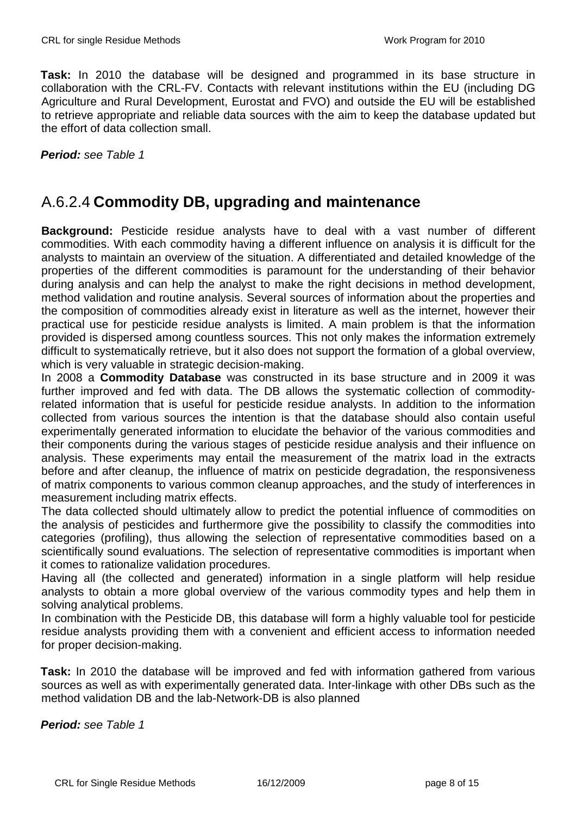**Task:** In 2010 the database will be designed and programmed in its base structure in collaboration with the CRL-FV. Contacts with relevant institutions within the EU (including DG Agriculture and Rural Development, Eurostat and FVO) and outside the EU will be established to retrieve appropriate and reliable data sources with the aim to keep the database updated but the effort of data collection small.

**Period:** see Table 1

## A.6.2.4 **Commodity DB, upgrading and maintenance**

**Background:** Pesticide residue analysts have to deal with a vast number of different commodities. With each commodity having a different influence on analysis it is difficult for the analysts to maintain an overview of the situation. A differentiated and detailed knowledge of the properties of the different commodities is paramount for the understanding of their behavior during analysis and can help the analyst to make the right decisions in method development, method validation and routine analysis. Several sources of information about the properties and the composition of commodities already exist in literature as well as the internet, however their practical use for pesticide residue analysts is limited. A main problem is that the information provided is dispersed among countless sources. This not only makes the information extremely difficult to systematically retrieve, but it also does not support the formation of a global overview, which is very valuable in strategic decision-making.

In 2008 a **Commodity Database** was constructed in its base structure and in 2009 it was further improved and fed with data. The DB allows the systematic collection of commodityrelated information that is useful for pesticide residue analysts. In addition to the information collected from various sources the intention is that the database should also contain useful experimentally generated information to elucidate the behavior of the various commodities and their components during the various stages of pesticide residue analysis and their influence on analysis. These experiments may entail the measurement of the matrix load in the extracts before and after cleanup, the influence of matrix on pesticide degradation, the responsiveness of matrix components to various common cleanup approaches, and the study of interferences in measurement including matrix effects.

The data collected should ultimately allow to predict the potential influence of commodities on the analysis of pesticides and furthermore give the possibility to classify the commodities into categories (profiling), thus allowing the selection of representative commodities based on a scientifically sound evaluations. The selection of representative commodities is important when it comes to rationalize validation procedures.

Having all (the collected and generated) information in a single platform will help residue analysts to obtain a more global overview of the various commodity types and help them in solving analytical problems.

In combination with the Pesticide DB, this database will form a highly valuable tool for pesticide residue analysts providing them with a convenient and efficient access to information needed for proper decision-making.

**Task:** In 2010 the database will be improved and fed with information gathered from various sources as well as with experimentally generated data. Inter-linkage with other DBs such as the method validation DB and the lab-Network-DB is also planned

**Period:** see Table 1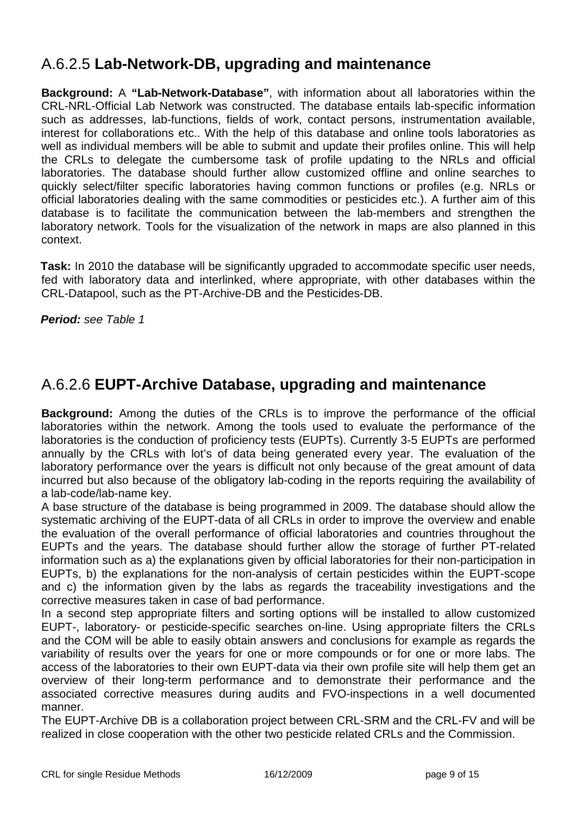# A.6.2.5 **Lab-Network-DB, upgrading and maintenance**

**Background:** A **"Lab-Network-Database"**, with information about all laboratories within the CRL-NRL-Official Lab Network was constructed. The database entails lab-specific information such as addresses, lab-functions, fields of work, contact persons, instrumentation available, interest for collaborations etc.. With the help of this database and online tools laboratories as well as individual members will be able to submit and update their profiles online. This will help the CRLs to delegate the cumbersome task of profile updating to the NRLs and official laboratories. The database should further allow customized offline and online searches to quickly select/filter specific laboratories having common functions or profiles (e.g. NRLs or official laboratories dealing with the same commodities or pesticides etc.). A further aim of this database is to facilitate the communication between the lab-members and strengthen the laboratory network. Tools for the visualization of the network in maps are also planned in this context.

**Task:** In 2010 the database will be significantly upgraded to accommodate specific user needs, fed with laboratory data and interlinked, where appropriate, with other databases within the CRL-Datapool, such as the PT-Archive-DB and the Pesticides-DB.

**Period:** see Table 1

#### A.6.2.6 **EUPT-Archive Database, upgrading and maintenance**

**Background:** Among the duties of the CRLs is to improve the performance of the official laboratories within the network. Among the tools used to evaluate the performance of the laboratories is the conduction of proficiency tests (EUPTs). Currently 3-5 EUPTs are performed annually by the CRLs with lot's of data being generated every year. The evaluation of the laboratory performance over the years is difficult not only because of the great amount of data incurred but also because of the obligatory lab-coding in the reports requiring the availability of a lab-code/lab-name key.

A base structure of the database is being programmed in 2009. The database should allow the systematic archiving of the EUPT-data of all CRLs in order to improve the overview and enable the evaluation of the overall performance of official laboratories and countries throughout the EUPTs and the years. The database should further allow the storage of further PT-related information such as a) the explanations given by official laboratories for their non-participation in EUPTs, b) the explanations for the non-analysis of certain pesticides within the EUPT-scope and c) the information given by the labs as regards the traceability investigations and the corrective measures taken in case of bad performance.

In a second step appropriate filters and sorting options will be installed to allow customized EUPT-, laboratory- or pesticide-specific searches on-line. Using appropriate filters the CRLs and the COM will be able to easily obtain answers and conclusions for example as regards the variability of results over the years for one or more compounds or for one or more labs. The access of the laboratories to their own EUPT-data via their own profile site will help them get an overview of their long-term performance and to demonstrate their performance and the associated corrective measures during audits and FVO-inspections in a well documented manner.

The EUPT-Archive DB is a collaboration project between CRL-SRM and the CRL-FV and will be realized in close cooperation with the other two pesticide related CRLs and the Commission.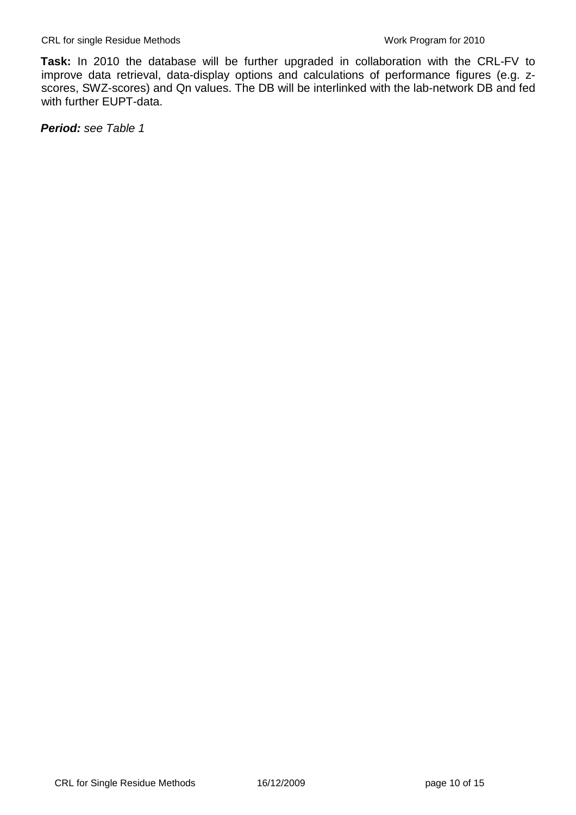**Task:** In 2010 the database will be further upgraded in collaboration with the CRL-FV to improve data retrieval, data-display options and calculations of performance figures (e.g. zscores, SWZ-scores) and Qn values. The DB will be interlinked with the lab-network DB and fed with further EUPT-data.

**Period:** see Table 1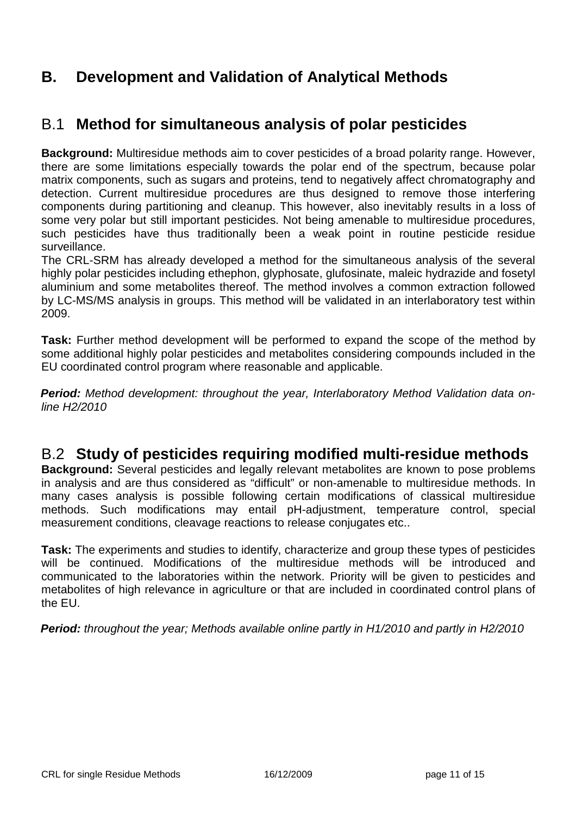## **B. Development and Validation of Analytical Methods**

#### B.1 **Method for simultaneous analysis of polar pesticides**

**Background:** Multiresidue methods aim to cover pesticides of a broad polarity range. However, there are some limitations especially towards the polar end of the spectrum, because polar matrix components, such as sugars and proteins, tend to negatively affect chromatography and detection. Current multiresidue procedures are thus designed to remove those interfering components during partitioning and cleanup. This however, also inevitably results in a loss of some very polar but still important pesticides. Not being amenable to multiresidue procedures, such pesticides have thus traditionally been a weak point in routine pesticide residue surveillance.

The CRL-SRM has already developed a method for the simultaneous analysis of the several highly polar pesticides including ethephon, glyphosate, glufosinate, maleic hydrazide and fosetyl aluminium and some metabolites thereof. The method involves a common extraction followed by LC-MS/MS analysis in groups. This method will be validated in an interlaboratory test within 2009.

**Task:** Further method development will be performed to expand the scope of the method by some additional highly polar pesticides and metabolites considering compounds included in the EU coordinated control program where reasonable and applicable.

**Period:** Method development: throughout the year, Interlaboratory Method Validation data online H2/2010

#### B.2 **Study of pesticides requiring modified multi-residue methods**

**Background:** Several pesticides and legally relevant metabolites are known to pose problems in analysis and are thus considered as "difficult" or non-amenable to multiresidue methods. In many cases analysis is possible following certain modifications of classical multiresidue methods. Such modifications may entail pH-adjustment, temperature control, special measurement conditions, cleavage reactions to release conjugates etc..

**Task:** The experiments and studies to identify, characterize and group these types of pesticides will be continued. Modifications of the multiresidue methods will be introduced and communicated to the laboratories within the network. Priority will be given to pesticides and metabolites of high relevance in agriculture or that are included in coordinated control plans of the EU.

**Period:** throughout the year; Methods available online partly in H1/2010 and partly in H2/2010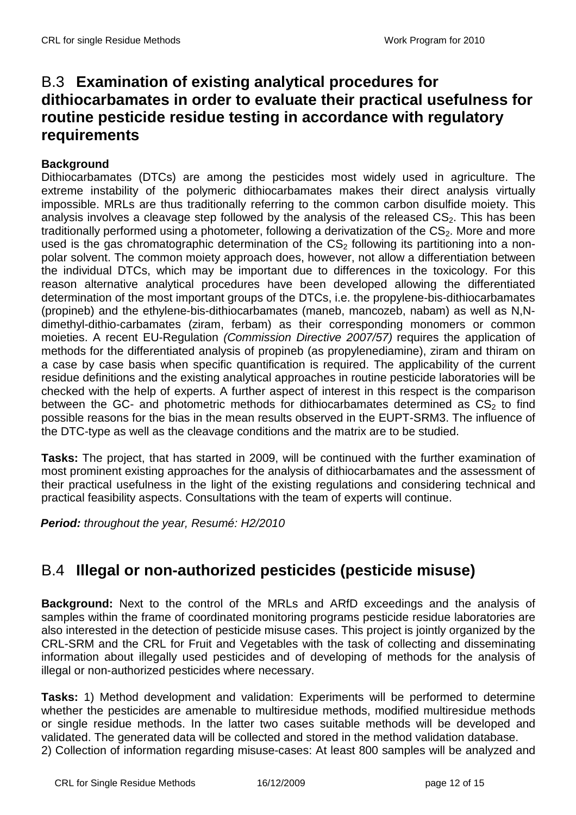### B.3 **Examination of existing analytical procedures for dithiocarbamates in order to evaluate their practical usefulness for routine pesticide residue testing in accordance with regulatory requirements**

#### **Background**

Dithiocarbamates (DTCs) are among the pesticides most widely used in agriculture. The extreme instability of the polymeric dithiocarbamates makes their direct analysis virtually impossible. MRLs are thus traditionally referring to the common carbon disulfide moiety. This analysis involves a cleavage step followed by the analysis of the released  $CS<sub>2</sub>$ . This has been traditionally performed using a photometer, following a derivatization of the CS<sub>2</sub>. More and more used is the gas chromatographic determination of the  $CS<sub>2</sub>$  following its partitioning into a nonpolar solvent. The common moiety approach does, however, not allow a differentiation between the individual DTCs, which may be important due to differences in the toxicology. For this reason alternative analytical procedures have been developed allowing the differentiated determination of the most important groups of the DTCs, i.e. the propylene-bis-dithiocarbamates (propineb) and the ethylene-bis-dithiocarbamates (maneb, mancozeb, nabam) as well as N,Ndimethyl-dithio-carbamates (ziram, ferbam) as their corresponding monomers or common moieties. A recent EU-Regulation (Commission Directive 2007/57) requires the application of methods for the differentiated analysis of propineb (as propylenediamine), ziram and thiram on a case by case basis when specific quantification is required. The applicability of the current residue definitions and the existing analytical approaches in routine pesticide laboratories will be checked with the help of experts. A further aspect of interest in this respect is the comparison between the GC- and photometric methods for dithiocarbamates determined as  $CS<sub>2</sub>$  to find possible reasons for the bias in the mean results observed in the EUPT-SRM3. The influence of the DTC-type as well as the cleavage conditions and the matrix are to be studied.

**Tasks:** The project, that has started in 2009, will be continued with the further examination of most prominent existing approaches for the analysis of dithiocarbamates and the assessment of their practical usefulness in the light of the existing regulations and considering technical and practical feasibility aspects. Consultations with the team of experts will continue.

**Period:** throughout the year, Resumé: H2/2010

# B.4 **Illegal or non-authorized pesticides (pesticide misuse)**

**Background:** Next to the control of the MRLs and ARfD exceedings and the analysis of samples within the frame of coordinated monitoring programs pesticide residue laboratories are also interested in the detection of pesticide misuse cases. This project is jointly organized by the CRL-SRM and the CRL for Fruit and Vegetables with the task of collecting and disseminating information about illegally used pesticides and of developing of methods for the analysis of illegal or non-authorized pesticides where necessary.

**Tasks:** 1) Method development and validation: Experiments will be performed to determine whether the pesticides are amenable to multiresidue methods, modified multiresidue methods or single residue methods. In the latter two cases suitable methods will be developed and validated. The generated data will be collected and stored in the method validation database.

2) Collection of information regarding misuse-cases: At least 800 samples will be analyzed and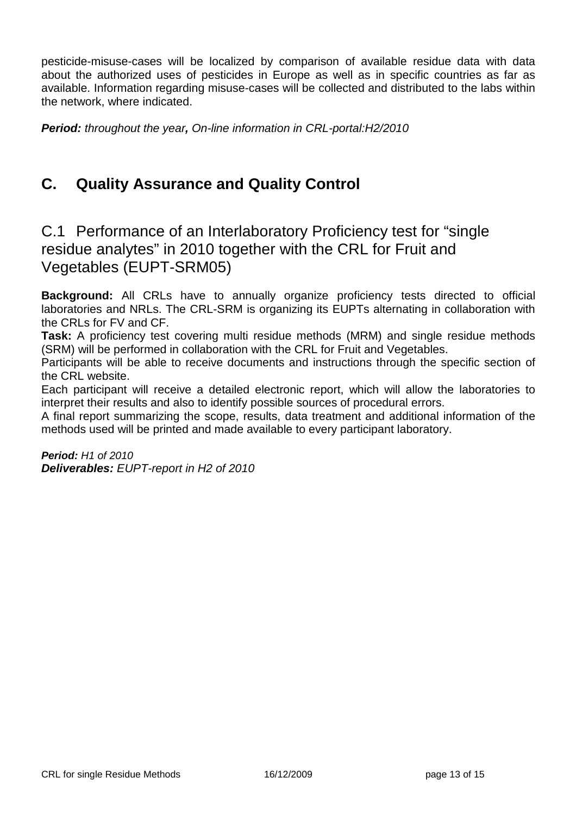pesticide-misuse-cases will be localized by comparison of available residue data with data about the authorized uses of pesticides in Europe as well as in specific countries as far as available. Information regarding misuse-cases will be collected and distributed to the labs within the network, where indicated.

**Period:** throughout the year**,** On-line information in CRL-portal:H2/2010

# **C. Quality Assurance and Quality Control**

C.1 Performance of an Interlaboratory Proficiency test for "single residue analytes" in 2010 together with the CRL for Fruit and Vegetables (EUPT-SRM05)

**Background:** All CRLs have to annually organize proficiency tests directed to official laboratories and NRLs. The CRL-SRM is organizing its EUPTs alternating in collaboration with the CRLs for FV and CF.

**Task:** A proficiency test covering multi residue methods (MRM) and single residue methods (SRM) will be performed in collaboration with the CRL for Fruit and Vegetables.

Participants will be able to receive documents and instructions through the specific section of the CRL website.

Each participant will receive a detailed electronic report, which will allow the laboratories to interpret their results and also to identify possible sources of procedural errors.

A final report summarizing the scope, results, data treatment and additional information of the methods used will be printed and made available to every participant laboratory.

**Period:** H1 of 2010 **Deliverables:** EUPT-report in H2 of 2010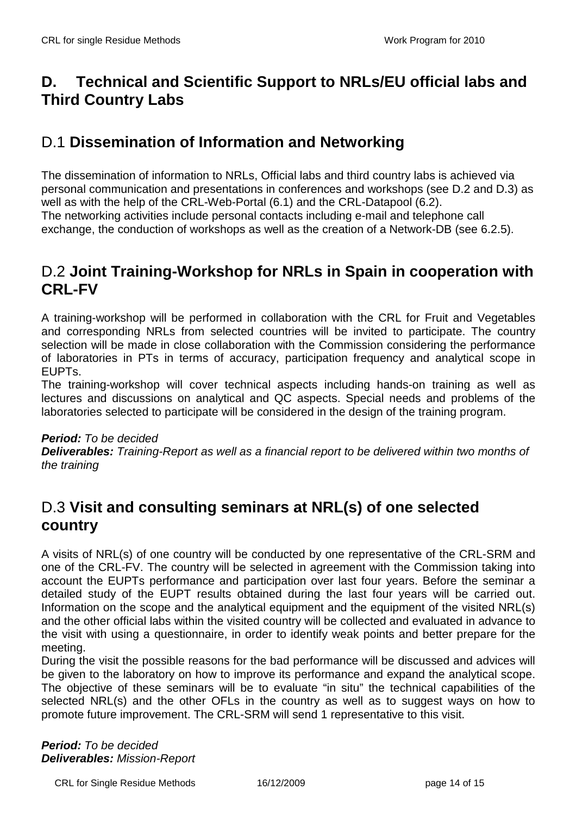# **D. Technical and Scientific Support to NRLs/EU official labs and Third Country Labs**

# D.1 **Dissemination of Information and Networking**

The dissemination of information to NRLs, Official labs and third country labs is achieved via personal communication and presentations in conferences and workshops (see D.2 and D.3) as well as with the help of the CRL-Web-Portal (6.1) and the CRL-Datapool (6.2). The networking activities include personal contacts including e-mail and telephone call exchange, the conduction of workshops as well as the creation of a Network-DB (see 6.2.5).

#### D.2 **Joint Training-Workshop for NRLs in Spain in cooperation with CRL-FV**

A training-workshop will be performed in collaboration with the CRL for Fruit and Vegetables and corresponding NRLs from selected countries will be invited to participate. The country selection will be made in close collaboration with the Commission considering the performance of laboratories in PTs in terms of accuracy, participation frequency and analytical scope in EUPTs.

The training-workshop will cover technical aspects including hands-on training as well as lectures and discussions on analytical and QC aspects. Special needs and problems of the laboratories selected to participate will be considered in the design of the training program.

#### **Period:** To be decided

**Deliverables:** Training-Report as well as a financial report to be delivered within two months of the training

## D.3 **Visit and consulting seminars at NRL(s) of one selected country**

A visits of NRL(s) of one country will be conducted by one representative of the CRL-SRM and one of the CRL-FV. The country will be selected in agreement with the Commission taking into account the EUPTs performance and participation over last four years. Before the seminar a detailed study of the EUPT results obtained during the last four years will be carried out. Information on the scope and the analytical equipment and the equipment of the visited NRL(s) and the other official labs within the visited country will be collected and evaluated in advance to the visit with using a questionnaire, in order to identify weak points and better prepare for the meeting.

During the visit the possible reasons for the bad performance will be discussed and advices will be given to the laboratory on how to improve its performance and expand the analytical scope. The objective of these seminars will be to evaluate "in situ" the technical capabilities of the selected NRL(s) and the other OFLs in the country as well as to suggest ways on how to promote future improvement. The CRL-SRM will send 1 representative to this visit.

**Period:** To be decided **Deliverables:** Mission-Report